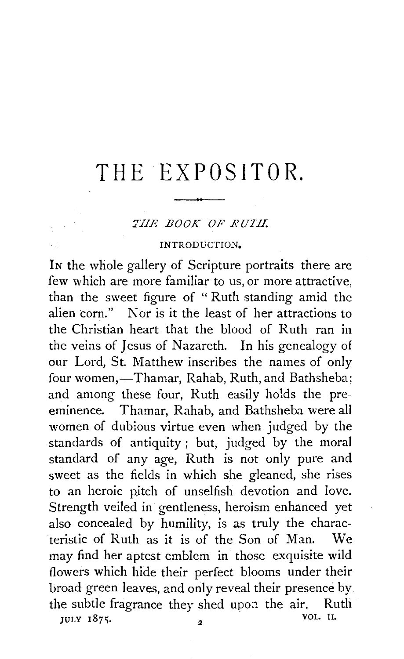## **THE EXPOSITOR.**

## *THE EOOK OF RUTIL*

## INTRODUCTION.

In the whole gallery of Scripture portraits there are few which are more familiar to us, or more attractive, than the sweet figure of " Ruth standing amid the alien corn." Nor is it the least of her attractions to the Christian heart that the blood of Ruth ran in the veins of Jesus of Nazareth. In his genealogy of our Lord, St. Matthew inscribes the names of only four women,-Thamar, Rahab, Ruth, and Bathsheba; and among these four, Ruth easily holds the preeminence. Thamar, Rahab, and Bathsheba were all women of dubious virtue even when judged by the standards of antiquity ; but, judged by the moral standard of any age, Ruth is not only pure and sweet as the fields in which she gleaned, she rises to an heroic pitch of unselfish devotion and love. Strength veiled in gentleness, heroism enhanced yet also concealed by humility, is as truly the characteristic of Ruth as it is of the Son of Man. We may find her aptest emblem in those exquisite wild flowers which hide their perfect blooms under their broad green leaves, and only reveal their presence by the subtle fragrance they shed upon the air. Ruth JULY  $1875.$  VOL. II.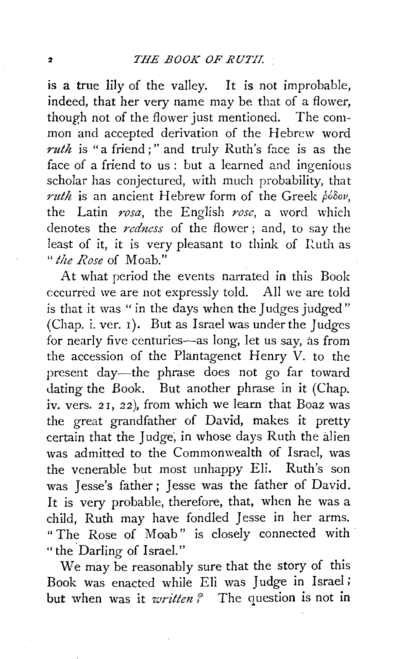is a true lily of the valley. It is not improbable, indeed, that her very name may be that of a flower, though not of the flower just mentioned. The common and accepted derivation of the Hebrew word *ruth* is "a friend;" and truly Ruth's face is as the face of a friend to us : but a learned and ingenious scholar has conjectured, with much probability, that *ruth* is an ancient Hebrew form of the Greek  $ρ'$ όδον, the Latin *rosa,* the English *rose,* a word which denotes the *redness* of the flower; and, to say the least of it, it is very pleasant to think of Ruth as *"* the Rose of Moab."

At what period the events narrated in this Book cccurrecl we are not expressly told. All we are told is that it was "in the days when the Judges judged" (Chap. i. ver. 1). But as Israel was under the Judges for nearly five centuries-as long, let us say, as from the accession of the Plantagenet Henry V. to the present day-the phrase does not go far toward dating the Book. But another phrase in it (Chap. iv. vers. 21, 22), from which we learn that Boaz was the great grandfather of David, makes it pretty certain that the Judge; in whose days Ruth the alien was admitted to the Commonwealth of Israel, was the venerable but most unhappy Eli. Ruth's son was ]esse's father; Jesse was the father of David. It is very probable, therefore, that, when he was a child, Ruth may have fondled Jesse in her arms. "The Rose of Moab" is closely connected with · "the Darling of Israel."

We may be reasonably sure that the story of this Book was enacted while Eli was Judge in Israel ; but when was it *written?* The question is not in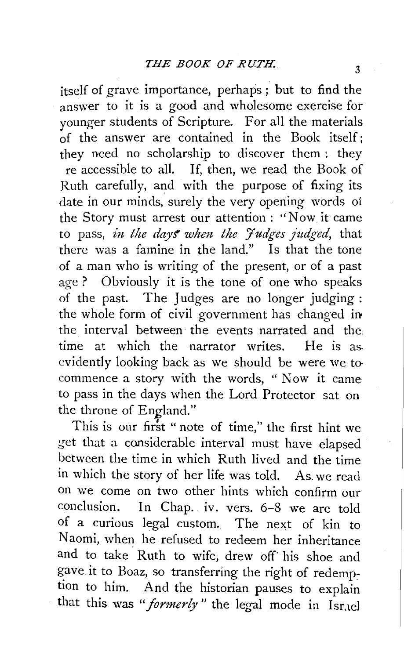itself of grave importance, perhaps; but to find the answer to it is a good and wholesome exercise for younger students of Scripture. For all the materials of the answer are contained in the Book itself; they need no scholarship to discover them : they re accessible to all. If, then, we read the Book of Ruth carefully, and with the purpose of fixing its date in our minds, surely the very opening words of the Story must arrest our attention : ''Now it came to pass, *in the days* when the Judges judged, that there was a famine in the land." Is that the tone of a man who is writing of the present, or of a past age ? Obviously it is the tone of one who speaks of the past. The Judges are no longer judging : the whole form of civil government has changed in. the interval between the events narrated and the time at which the narrator writes. He is as. evidently looking back as we should be were we to commence a story with the words, " Now it came to pass in the days when the Lord Protector sat on the throne of England."

This is our first "note of time," the first hint we get that a considerable interval must have elapsed between the time in which Ruth lived and the time in which the story of her life was told. As. we read on we come on two other hints which confirm our conclusion. In Chap. iv. vers. 6-8 we are told of a curious legal custom. The next of kin to Naomi, when he refused to redeem her inheritance and to take Ruth to wife, drew off his shoe and gave it to Boaz, so transferring the right of redemption to him. And the historian pauses to explain that this was "*formerly*" the legal mode in Israel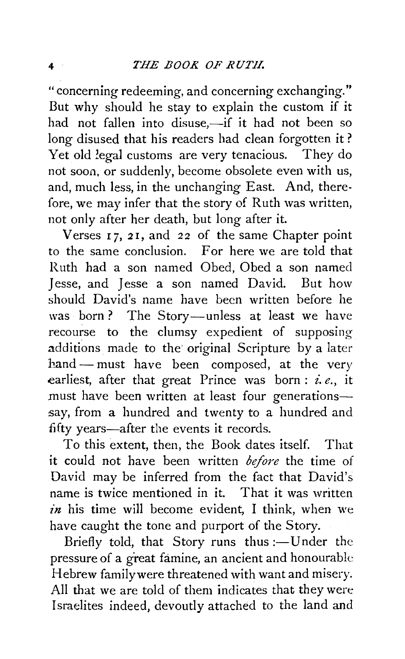"concerning redeeming, and concerning exchanging." But why should he stay to explain the custom if it had not fallen into disuse,-if it had not been so long disused that his readers had clean forgotten it? Yet old legal customs are very tenacious. They do not soon, or suddenly, become obsolete even with us, and, much less, in the unchanging East. And, therefore, we may infer that the story of Ruth was written, not only after her death, but long after it.

Verses  $17$ ,  $21$ , and  $22$  of the same Chapter point to the same conclusion. For here we are told that Ruth had a son named Obed, Obed a son named Jesse, and Jesse a son named David. But how should David's name have been written before he was born? The Story-unless at least we have recourse to the clumsy expedient of supposing additions made to the original Scripture by a later hand - must have been composed, at the very earliest, after that great Prince was born : *i.e.*, it must have been written at least four generationssay, from a hundred and twenty to a hundred and fifty years-after the events it records.

To this extent, then, the Book dates itself. That it could not have been written *before* the time of David may be inferred from the fact that David's name is twice mentioned in it. That it was written *in* his time will become evident, I think, when we have caught the tone and purport of the Story.

Briefly told, that Story runs thus :- Under the pressure of a great famine, an ancient and honourable Hebrew family were threatened with want and misery. All that we are told of them indicates that they were Israelites indeed, devoutly attached to the land and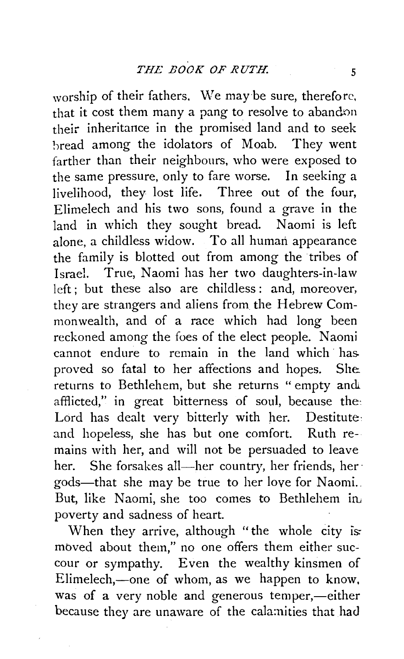worship of their fathers. We may be sure, therefore, that it cost them many a pang to resolve to abandon their inheritance in the promised land and to seek bread among the idolators of Moab. They went farther than their neighbours, who were exposed to the same pressure, only to fare worse. In seeking a livelihood, they lost life. Three out of the four, Elimelech and his two sons, found a grave in the land in which they sought bread. Naomi is left alone, a childless widow. To all human appearance the family is blotted out from among the tribes of Israel. True, Naomi has her two daughters-in-law left; but these also are childless: and, moreover, they are strangers and aliens from the Hebrew Commonwealth, and of a race which had long been reckoned among the foes of the elect people. Naomi cannot endure to remain in the land which has. proved so fatal to her affections and hopes. She: returns to Bethlehem, but she returns " empty and afflicted," in great bitterness of soul, because the: Lord has dealt very bitterly with her. Destitute: and hopeless, she has but one comfort. Ruth re-· mains with her, and will not be persuaded to leave her. She forsakes all—her country, her friends, her· gods—that she may be true to her love for Naomi... But, like Naomi, she too comes to Bethlehem in poverty and sadness of heart.

When they arrive, although "the whole city is: mbved about them," no one offers them either succour or sympathy. Even the wealthy kinsmen of Elimelech,—one of whom, as we happen to know, was of a very noble and generous temper,-either because they are unaware of the calamities that had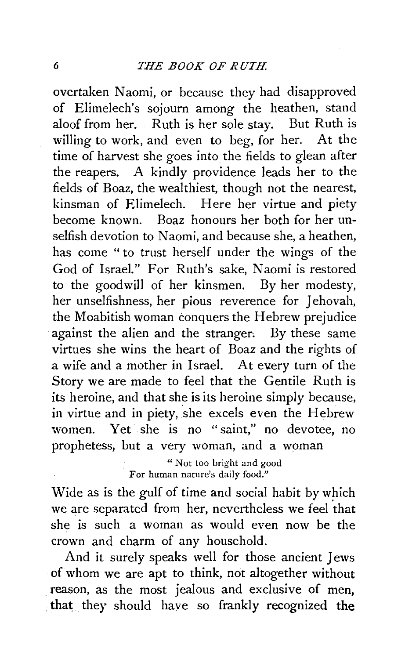overtaken Naomi, or because they had disapproved of Elimelech's sojourn among the heathen, stand aloof from her. Ruth is her sole stay. But Ruth is willing to work, and even to beg, for her. At the time of harvest she goes into the fields to glean after the reapers. A kindly providence leads her to the fields of Boaz, the wealthiest, though not the nearest, kinsman of Elimelech. Here her virtue and piety become known. Boaz honours her both for her unselfish devotion to Naomi, and because she, a heathen, has come " to trust herself under the wings of the God of Israel." For Ruth's sake, Naomi is restored to the goodwill of her kinsmen. By her modesty, her unselfishness, her pious reverence for Jehovah, the Moabitish woman conquers the Hebrew prejudice against the alien and the stranger. By these same virtues she wins the heart of Boaz and the rights of a wife and a mother in Israel. At every turn of the Story we are made to feel that the Gentile Ruth is its heroine, and that she is its heroine simply because, in virtue and in piety, she excels even the Hebrew women. Yet· she is no " saint," no devotee, no prophetess, but a very woman, and a woman

> " Not too bright and good For human nature's daily food."

Wide as is the gulf of time and social habit by which we are separated from her, nevertheless we feel that she is such a woman as would even now be the crown and charm of any household.

And it surely speaks well for those ancient Jews of whom we are apt to think, not altogether without reason, as the most jealous and exclusive of men, . **that ..** they should have so frankly recognized **the**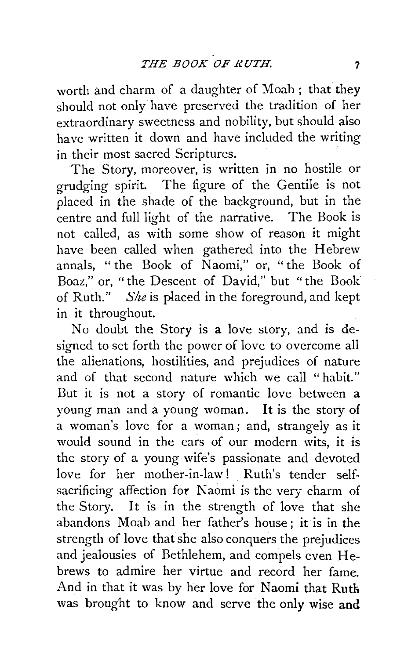worth and charm of a daughter of Moab ; that they should not only have preserved the tradition of her extraordinary sweetness and nobility, but should also have written it down and have included the writing in their most sacred Scriptures.

The Story, moreover, is written in no hostile or grudging spirit.. The figure of the Gentile is not placed in the shade of the background, but in the centre and full light of the narrative. The Book is not called, as with some show of reason it might have been called when gathered into the Hebrew annals, "the Book of Naomi," or, "the Book of Boaz," or, "the Descent of David," but "the Book of Ruth." *She* is placed in the foreground, and kept in it throughout.

No doubt the Story is a love story, and is designed to set forth the power of love to overcome all the alienations, hostilities, and prejudices of nature and of that second nature which we call "habit." But it is not a story of romantic love between a young man and a young woman. It is the story of a woman's love for a woman; and, strangely as it would sound in the ears of our modern wits, it is the story of a young wife's passionate and devoted love for her mother-in-law! Ruth's tender selfsacrificing affection for Naomi is the very charm of the Story. It is in the strength of love that she abandons Moab and her father's house ; it is in the strength of love that she also conquers the prejudices and jealousies of Bethlehem, and compels even Hebrews to admire her virtue and record her fame. And in that it was by her love for Naomi that Ruth was brought to know and serve the only wise and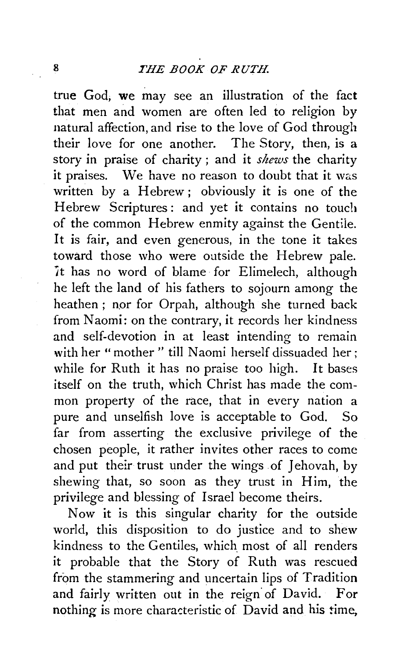true God; we may see an illustration of the fact that men and women are often led to religion by natural affection, and rise to the love of God through their love for one another. The Story, then, is a story in praise of charity ; and it *shews* the charity it praises. We have no reason to doubt that it was written by a Hebrew ; obviously it is one of the Hebrew Scriptures: and yet it contains no touch of the common Hebrew enmity against the Gentiie. It is fair, and even generous, in the tone it takes toward those who were outside the Hebrew pale. it has no word of blame for Elimelech, although he left the land of his fathers to sojourn among the heathen; nor for Orpah, although she turned back from Naomi: on the contrary, it records her kindness and self-devotion in at least intending to remain with her "mother" till Naomi herself dissuaded her : while for Ruth it has no praise too high. It bases itself on the truth, which Christ has made the common property of the race, that in every nation a pure and unselfish love is acceptable to God. So far from asserting the exclusive privilege of the chosen people, it rather invites other races to come and put their trust under the wings of Jehovah, by shewing that, so soon as they trust in Him, the privilege and blessing of Israel become theirs.

Now it is this singular charity for the outside world, this disposition to do justice and to shew kindness to the Gentiles, which most of all renders it probable that the Story of Ruth was rescued from the stammering and uncertain lips of Tradition and fairly written out in the reign of David. For nothing is more characteristic of David and his time,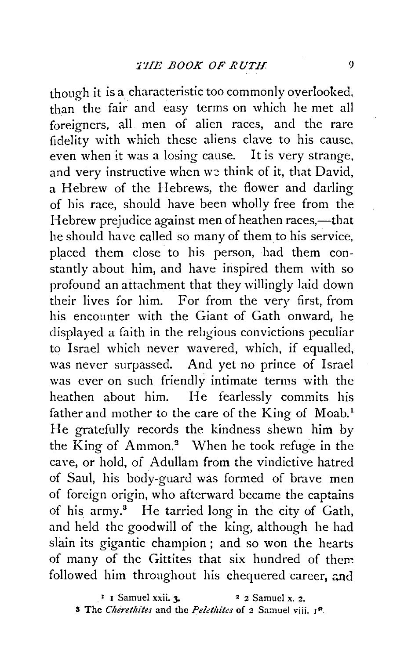though it is a characteristic too commonly overlooked, than the fair and easy terms on which he met all foreigners, all men of alien races, and the rare fidelity with which these aliens clave to his cause, even when it was a losing cause. It is very strange, and very instructive when we think of it, that David, a Hebrew of the Hebrews, the flower and darling of his race, should have been wholly free from the Hebrew prejudice against men of heathen races,—that he should have called so many of them to his service, placed them close to his person, had them constantly about him, and have inspired them with so profound an attachment that they willingly laid down their lives for him. For from the very first, from his encounter with the Giant of Gath onward, he displayed a faith in the religious convictions peculiar to Israel which never wavered, which, if equalled, was never surpassed. And yet no prince of Israel was ever on such friendly intimate terms with the heathen about him. He fearlessly commits his father and mother to the care of the King of Moab.<sup>1</sup> He gratefully records the kindness shewn him by the King of Ammon.<sup>2</sup> When he took refuge in the caye, or hold, of Adullam from the vindictive hatred of Saul, his body-guard was formed of brave men of foreign origin, who afterward became the captains of his army.<sup>3</sup> He tarried long in the city of Gath, and held the goodwill of the king, although he had slain its gigantic champion ; and so won the hearts of many of the Gittites that six hundred of therr. followed him throughout his chequered career, and

 $\frac{1}{2}$  1 Samuel xxii. 3.  $\frac{2}{2}$  2 Samuel x. 2. **s** The *Cherethites* and the *Pelethites* of 2 Samuel viii.  $n^{\circ}$ .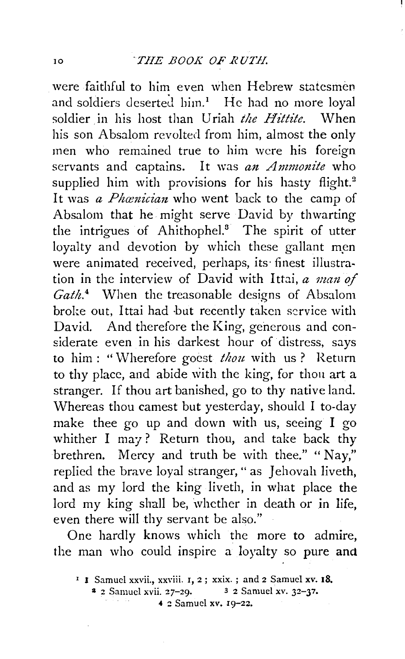were faithful to him even when Hebrew statesmen and soldiers deserted him.<sup>1</sup> He had no more loyal soldier in his host than Uriah *the Hittite*. When his son Absalom revolted from him, almost the only men who remained true to him were his foreign servants and captains. It was *an Ammonite* who supplied him with provisions for his hasty flight.<sup>2</sup> It was *a Phanician* who went back to the camp of Absalom that he might serve David by thwarting the intrigues of Ahithophel.<sup>3</sup> The spirit of utter loyalty and devotion by which these gallant men were animated received, perhaps, its· finest illustration in the interview of David with Ittai, *a man of* Gath.<sup>4</sup> When the treasonable designs of Absalom broke out, Ittai had but recently taken service with David. And therefore the King, generous and considerate even in his darkest hour of distress, says to him : "\Vherefore goest *thou* with us ? Return to thy place, and abide with the king, for thou art a stranger. If thou art banished, go to thy native land. Whereas thou camest but yesterday, should I to-day make thee go up and down with us, seeing I go whither I may? Return thou, and take back thy brethren. Mercy and truth be with thee." " $\text{Nay}$ ," replied the brave loyal stranger, " as Jehovah liveth, and as my lord the king liveth, in what place the lord my king shall be, whether in death or in life, even there will thy servant be also."

One hardly knows which the more to admire, the man who could inspire a loyalty so pure and

**2** 2 Samuel xvii.  $27-29$ .  $3$  2 Samuel xv.  $32-37$ .

4 : Samuel xv. 19-22.

<sup>&</sup>lt;sup>1</sup> I Samuel xxvii., xxviii. 1, 2; xxix. ; and 2 Samuel xv. 18.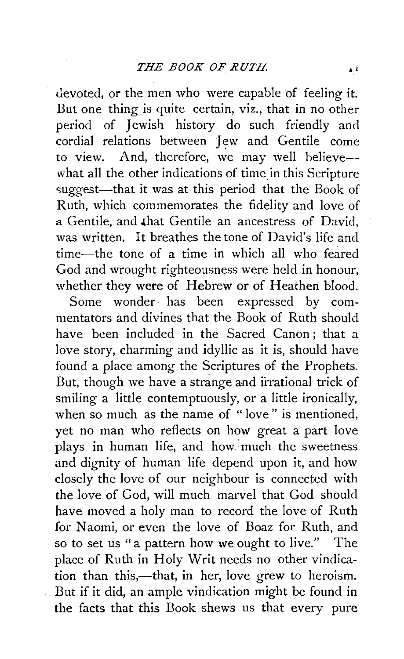$\pm$   $\,$   $\,$   $\,$ 

devoted, or the men who were capable of feeling it. But one thing is quite certain, viz., that in no other period of Jewish history do such friendly and cordial relations between Jew and Gentile come to view. And, therefore, we may well believewhat all the other indications of time in this Scripture suggest—that it was at this period that the Book of Ruth, which commemorates the fidelity and love of a Gentile, and that Gentile an ancestress of David, was written. It breathes the tone of David's life and time-the tone of a time in which all who feared God and wrought righteousness were held in honour, whether they were of Hebrew or of Heathen blood.

Some wonder has been expressed by commentators and divines that the Book of Ruth should have been included in the Sacred Canon: that a love story, charming and idyllic as it is, should have found a place among the Scriptures of the Prophets. But, though we have a strange and irrational trick of smiling a little contemptuously, or a little ironically, when so much as the name of "love" is mentioned, yet no man who reflects on how great a part love plays in human life, and how much the sweetness and dignity of human life depend upon it, and how closely the love of our neighbour is connected with the love of God, will much marvel that God should have moved a holy man to record the love of Ruth for Naomi, or even the love of Boaz for Ruth, and so to set us "a pattern how we ought to live." The place of Ruth in Holy Writ needs no other vindication than this,—that, in her, love grew to heroism. But if it did, an ample vindication might be found in the facts that this Book shews us that every pure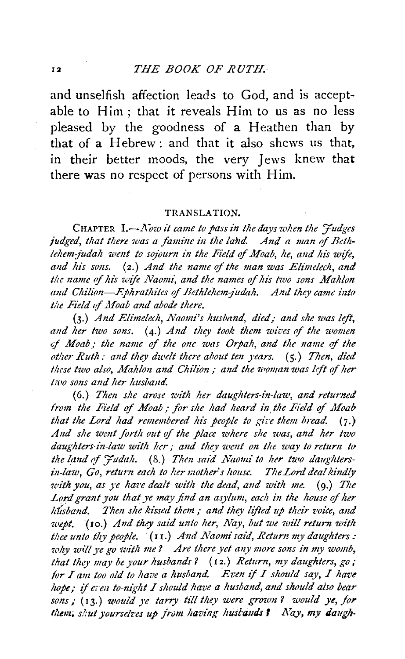and unselfish affection leads to God, and is acceptable to Him ; that it reveals Him to us as no less pleased by the goodness of a Heathen than by that of a Hebrew: and that it also shews us that, in their better moods, the very Jews knew that there was no respect of persons with Him.

## TRANSLATION.

CHAPTER **I.**—Now it came to pass in the days when the *Judges* judged, that there was a famine in the land. And a man of Beth-*/ehem-judah wmt to sojourn in the Field of Moab, he, and Ius wife,*  and his sons. (2.) And the name of the man was Elimelech, and the name of his wife Naomi, and the names of his two sons Mahlon and Chilion-Ephrathites of Bethlehem-judah. And they came into the Field of Moab and abode there.

(3.) And Elimelech, Naomi's husband, died; and she was left, *and her two sons.* (4.) *And they took them wives of tlte women of Moab* / *the name of tlze one was Orpalz, and tlze name of tlze other Ruth: and they dwelt there about ten ;·ears.* (5.) *Then, died tl1ese two also, Mahlon and Chilion* / *and the woman was lift of her*  two sons and her husband.

(6.) Then she arose with her daughters-in-law, and returned from the Field of Moab ; for she had heard in the Field of Moab *that the Lord had remembered his people to give them bread.* (7.) And she went forth out of the place where she was, and her two daughters-in-law with her; and they went on the way to return to the land of *'Fudah.* (8.) Then said Naomi to her two daughters*in-law, Go, return each to Iter mother's house. The Lord deal kindly with you, as ye have dealt with the dead, and with me.* (9.) The Lord grant you that ye may find an asylum, each in the house of her hisband. Then she kissed them; and they lifted up their voice, and wept. (10.) And they said unto her, Nay, but we will return with *thee unto thy people.* (11.) And Naomi said, Return my daughters : *zohy will ye go with me? Are there yet any more sons in my womb*, *that the)' may be ;•our husbands ?* (I 2.) *Return, my daughters, go; for I am too old to have a husband. Even if I should say, I have ltope; if ezen to-night I should have a husband, and should aiso bear* sons; (13.) *would ye tarry till they were grown? would ye, for lhem; shut yourselves up from having husbands ' Nay, my daugh-*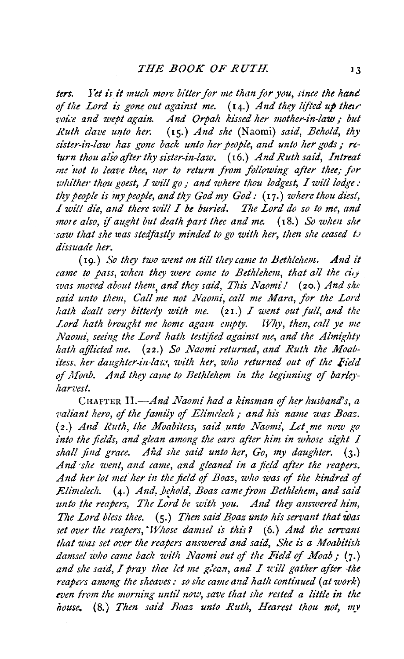*ters.* Yet is it much more bitter for me than for you, since the hand of the Lord is gone out against me. (14.) And they lifted up their *voke and wept again. And Orpah kissed her mother-in-law; but Ruth clave unto her.* (IS.) *And she* (Naomi) *said, Behold, thy*  sister-in-law has gone back unto her people, and unto her gods; re*turn thou also after thy sister-in-law.* (I6.) *And Ruth said, Intnat*  me not to leave thee, nor to return from following after thee; for *w!tither thou goes!, I will go; and where thou lodges!, I will lodge: thy people is my people, and thy God my God:* (17.) *where thou diest, I will die, and there will I be buried. The Lord do so to me, and more also, if aught but death part thee and me.* (18.) *So when she* saw that she was stedfastly minded to go with her, then she ceased to dissuade her.

 $(19.)$  *So they two went on till they came to Bethlehem.* And it *came to pass, when they were come to Bethlehem, that all the city was moved about them, and they said, Tlus Naomi!* (zo.) *And she*  said unto them, Call me not Naomi, call me Mara, for the Lord *!zath dealt 'Very bitterly with me.* ( 2 **r.)** *I went out full, and the*  Lord hath brought me home again empty. Why, then, call ye me *Naomi, seeing the Lord hath testified against me, and the Almighty* hath afflicted me. (22.) So Naomi returned, and Ruth the Moabitess, her daughter-in-law, with her, who returned out of the Field of *JJfoab. And they came to Bethlehem in the beginning* of *barleyharvest.* 

CHAPTER II.—And Naomi had a kinsman of her husband's, a *valiant hero, of the family of Elimelech; and his name was Boaz.* (2.) And Ruth, the Moabitess, said unto Naomi, Let me now go into the fields, and glean among the ears after him in whose sight 1 shall find grace. And she said unto her, Go, my daughter. (3.) And she went, and came, and gleaned in a field after the reapers. And her lot met her in the field of *Boaz*, who was of the kindred of *Elime!eclz.* (4.) *And,* \_b~hold, *Boaz came from Bctltlehem, and said*  unto the reapers, The Lord be with you. And they answered him, *The Lord bless thee.* (5.) *Then said Boaz unto his servant that was* set over the reapers, 'Whose damsel is this? (6.) And the servant that was set over the reapers answered and said, She is a Moabitish *damsel who came back with Naomi out of the Field of Moab;* (7.) and she said, I pray thee let me glean, and I will gather after the *reapevs among the sheaves: so she came and hath continued (at work) even from the morning until now, save that she rested a little in the* house. (8.) Then said Roaz unto Ruth, Hearest thou not, my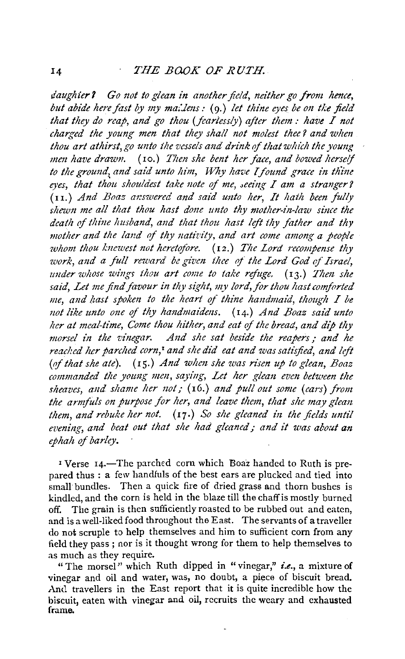*daughier* 1 *Go not to glean in another field, neither go from hence, but abide here fast by my mailens:* (9.) *let thine eyes be on the field that they do reap, and go thou (feariessly) after them: have I not charged the young men that they shall not molest thee* 'l *and whm thou art athirst, go unto the vessels and drink* of *thatwlui:h the young men have drawn.* (10.) Then she bent her face, and bowed herself to the ground, and said unto him, Why have I found grace in thine *eyes, that thou shouldest take note* of *me, oeeing I am a stranger* 'l (11.) And Boaz answered and said unto her, It hath been fully *sheum me all that thou hast done unto thy mother-in-law since the*  death of thine husband, and that thou hast left thy father and thy mother and the land of thy nativity, and art come among a people *·whom thou knewest not heretofore.* (Iz.) *The Lord recompense thy work, and a full reward be given thee qf the Lord God qf Israel, under whose wings thou art come to take refuge.* (13.) Then she said, Let me find favour in thy sight, my lord, for thou hast comforted *me, and hast spoken to the heart of thine handmaid, though I be not like unto one of thy handmaidens.* (14.) *And .Boaz said unto lier at meal-time, Come thou hither, and eat of the bread, and dip thy* morsel in the vinegar. And she sat beside the reapers ; and he *reacl:ed Iter parched corn,* 1 *and she did eat and 7£1as satisfied, and lift (of that she ate).* (IS·) *And when she was risen up to glean, Boaz commanded the young men, saying, Let her glean even between the* sheaves, and shame her not; (16.) and pull out some (ears) from *the armfuls on purpose for her, and leave them, that she may glean them, and rebuke her not.* (I 7.) *So she gleaned in the fields until*  evening, and beat out that she had gleaned; and it was about an *ephah* of *barley.* 

<sup>1</sup> Verse 14.-The parched corn which Boaz handed to Ruth is prepared thus : a few handfuls of the best ears are plucked and tied into small bundles. Then a quick fire of dried grass and thorn bushes is kindled, and the corn is held in the blaze till the chaff is mostly burned off. The grain is then sufficiently roasted to be rubbed out and eaten, and is a well-liked food throughout the East. The servants of a traveller do not scruple to help themselves and him to sufficient corn from any field they pass ; nor is it thought wrong for them to help themselves to as much as they require.

"The morsel" which Ruth dipped in "vinegar," *i.e.,* a mixture of vinegar and oil and water, was, no doubt, a piece of biscuit bread. And travellers in the East report that it is quite incredible how the biscuit, eaten with vinegar and oil, recruits the weary and exhausted frame.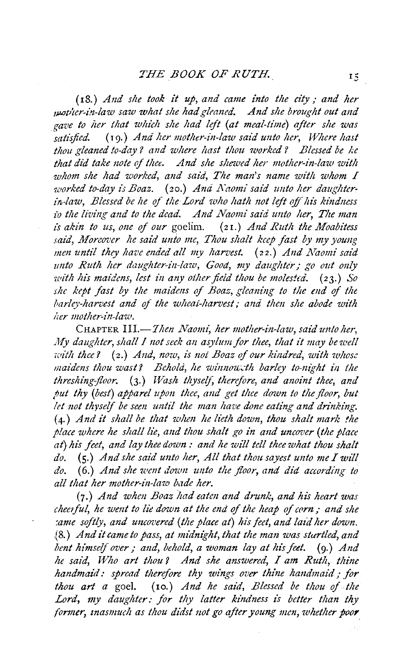(I 8.) *And she took it up, and came into the city* ; *and her tuotier-in-law saw what she had gleaned. And she brought out and gave to her that which she had left (at meal-time) after she was* satisfied. (19.) And her mother-in-law said unto her, Where hast thou gleaned to-day ? and where hast thou worked? Blessed be ke that did take note of thee. And she shewed her mother-in-law with whom she had worked, and said, The man's name with whom I worked to-day is Boaz. (20.) And Naomi said unto her daughterin-law, Blessed be he of the Lord who hath not left off his kindness io the living and to the dead. And Naomi said unto her, The man *zs akin to us, one of our* goelim. ( 2 1.) *And Ruth the Moabitess*  said, Moreover he said unto me, Thou shalt keep fast by my young *men until they have ended all my harvest.* (22.) *And Naomi said* unto Ruth her daughter-in-law, Good, my daughter; go out only *with his maidens, lest in any other field thou be molested.* (23.) So she kept fast by the maidens of Boaz, gleaning to the end of the *barley-harvest and of the wheai-harvest; and then she abode with her mother-in-law.* 

CHAPTER III.-*Then Naomi, her mother-in-law, said unto her*, *My daughter, shall I not seek an asylum for thee, that it may be well ;oz"t!z thee?* (z.) *And, now, is not Boaz of our kindred, with whose maidens thou was!? Behold, he* wimzoa~·th *barley to-night in the threshing-floor.* (3.) *Wash thyself, therefore, and anoint thee, and* put thy (best) apparel upon thee, and get thee down to the floor, but let not thyself be seen until the man have done eating and drinking. (4.) And it shall be that when he lieth down, thou shalt mark the *place where he shall lie, and thou shalt go in and uncover (the place* at) his feet, and lay thee down : and he will tell thee what thou shalt *do.* (5.) *And she said unto her, All that thou sayest unto me\_/ will do.* (6.) *And she went down unto the floor, and did according to all that her mother-in-law b,1de her.* 

(7.) *And whm Boaz !zad eatm and drunk, and hzs heart was cheerful, he went to lie down at the end of the heap of corn; and she zame softly, and uncovered (the place at) his feet, and laid her down.* (8.) And it came to pass, at midnight, that the man was startled, and *bent himself over; and, behold, a woman lay at his feet.* (9.) *And he said, Who art thou ? And she answered,* \_/ *am Ruth, thine handmaid: spread therefore thy wings over thine handmaid; for thou art a* goel. (10.) And he said, Blessed be thou of the Lord, my daughter: for thy latter kindness is better than thy *former, inasmuch as thou didst not go after young men, whether poor* 

15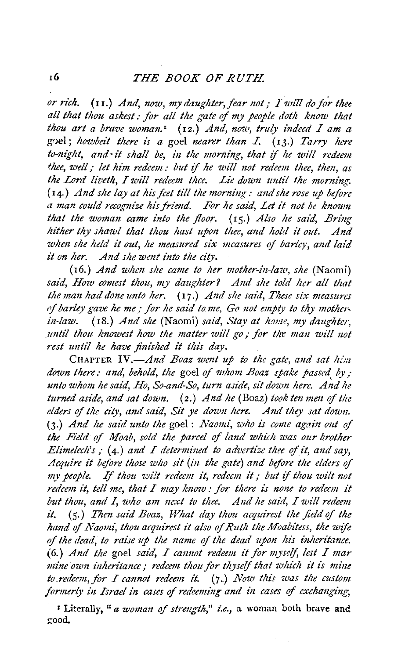*or rich.* (11.) And, now, my daughter, fear not; I will do for thee all that thou askest: for all the gate of my people doth know that *thou art a brave woman.'* (I2.) *And, now, truly indeed I am a*  goel; *howbeit there is a* goel *nearer than I.* (IJ.) *Tarry here to-night, and· it shall be, in the moniing, that if he will redeem thee, well; let him redeem: but if he will not redeem thee, then, as the Lord liveth, I will redeem thee. Lie down until the morning.*  (I 4·) *And she lay at his feet till the morning: and she rose up bifore a man could recognize his friend. For he said, Let it not be known that the woman came into the floor.* (IS.) *Also he said, Bring hither thy shawl that thou hast upou thee, and hold it out. And ·when she held it out, he measured six measures* qf *barley, and laid*  it on her. And she went into the city.

(16.) *And when she came to her mother-in-law, she* (Naomi) said, How comest thou, my daughter? And she told her all that *the man had done unto her.* (I 7.) *And she said, These six measures*  if *barley gave he me; for he satd to me, Go not empty to thy motherin-law.* (18.) *And she* (Naomi) *said, Stay at hone, my daughter*, *until thou knowest how the matter will go; for the man will not rest until he have finished it this day.* 

CHAPTER *IV.-And Boaz went up to the gate, and sat him down there: and, behold, the goel of whom Boaz spake passed by; unto whom he said, Ho, So-and-So, turn aside, sit down here. And he turned aside, and sat down.* (2.) *And !te* (Boaz) *took tm mm* qf *the*  elders of the city, and said, Sit ye down here. And they sat down. (3.) *And he satd unto the* goe! : *Naomi, who is come again out* o/ *the Field* qf *Moab, sold the parcel* qf *land which was our brother Elimelech's*; (4.) and *I determined to advertize thee of it, and say*, *Acquire it bifore those who sit (in the gate) and bifore the elders* of my people. If thou wilt redeem it, redeem it; but if thou wilt not *redeem it, tell me, that I may know: for. there is none to redeem it*  but thou, and *I*, who am next to thee. And he said, I will redeem *it.* (5.) Then said Boaz, What day thou acquirest the field of the *hand* qf *J.laomi, thou acquires! it also* qf *Ruth the Moabitess, the wife*  of the dead, to raise up the name of the dead upon his inheritance. (6.) *And the* goe! *sazd, I cannot redeem it for mysdj, lest I mar*  mine own inheritance; redcem thou for thyself that which it is mine to redeem, for I cannot redeem it. (7.) Now this was the custom *formerly in Israel in cases of redeeming and in cases of exchanging,* 

<sup>1</sup> Literally, "*a woman of strength*," *i.e.*, a woman both brave and  ${\tt cool}$